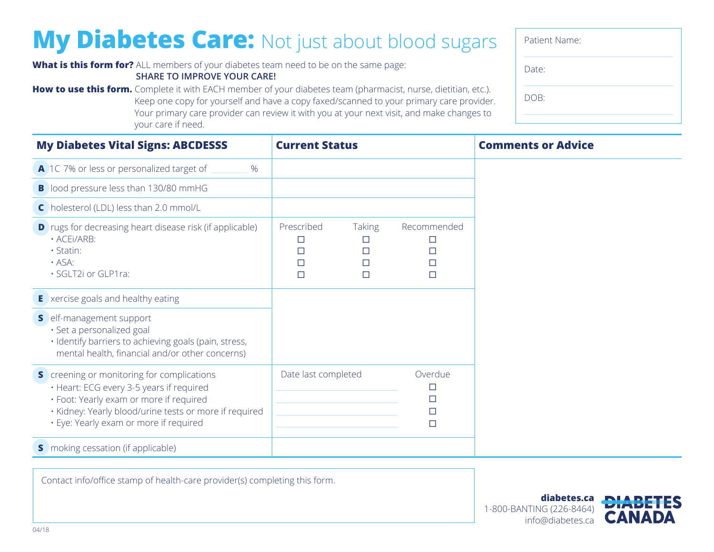## **My Diabetes Care:** Not just about blood sugars

**How to use this form.** Complete it with EACH member of your diabetes team (pharmacist, nurse, dietitian, etc.).

**What is this form for?** ALL members of your diabetes team need to be on the same page: **SHARE TO IMPROVE YOUR CARE!**

| Your primary care provider can review it with you at your next visit, and make changes to<br>your care if need.                                                                                                                       |                                |                                        |                           |  |  |
|---------------------------------------------------------------------------------------------------------------------------------------------------------------------------------------------------------------------------------------|--------------------------------|----------------------------------------|---------------------------|--|--|
| <b>My Diabetes Vital Signs: ABCDESSS</b>                                                                                                                                                                                              | <b>Current Status</b>          |                                        | <b>Comments or Advice</b> |  |  |
| A 1C 7% or less or personalized target of<br>$\%$                                                                                                                                                                                     |                                |                                        |                           |  |  |
| <b>B</b> lood pressure less than 130/80 mmHG                                                                                                                                                                                          |                                |                                        |                           |  |  |
| C holesterol (LDL) less than 2.0 mmol/L                                                                                                                                                                                               |                                |                                        |                           |  |  |
| <b>D</b> rugs for decreasing heart disease risk (if applicable)<br>· ACEI/ARB:<br>· Statin:<br>$\cdot$ ASA:<br>· SGLT2i or GLP1ra:                                                                                                    | Prescribed<br>□<br>П<br>□<br>П | <b>Taking</b><br>□<br>□<br>□<br>$\Box$ | Recommended<br>П          |  |  |
| <b>E</b> xercise goals and healthy eating                                                                                                                                                                                             |                                |                                        |                           |  |  |
| S elf-management support<br>· Set a personalized goal<br>· Identify barriers to achieving goals (pain, stress,<br>mental health, financial and/or other concerns)                                                                     |                                |                                        |                           |  |  |
| S creening or monitoring for complications<br>· Heart: ECG every 3-5 years if required<br>· Foot: Yearly exam or more if required<br>· Kidney: Yearly blood/urine tests or more if required<br>· Eye: Yearly exam or more if required | Date last completed            |                                        | Overdue                   |  |  |

Keep one copy for yourself and have a copy faxed/scanned to your primary care provider.

**s** moking cessation (if applicable)

Contact info/office stamp of health-care provider(s) completing this form.

| Patient Name: |  |
|---------------|--|
| Date:         |  |
| DOB:          |  |
|               |  |

1-800-BANTING (226-8464) info@diabetes.ca